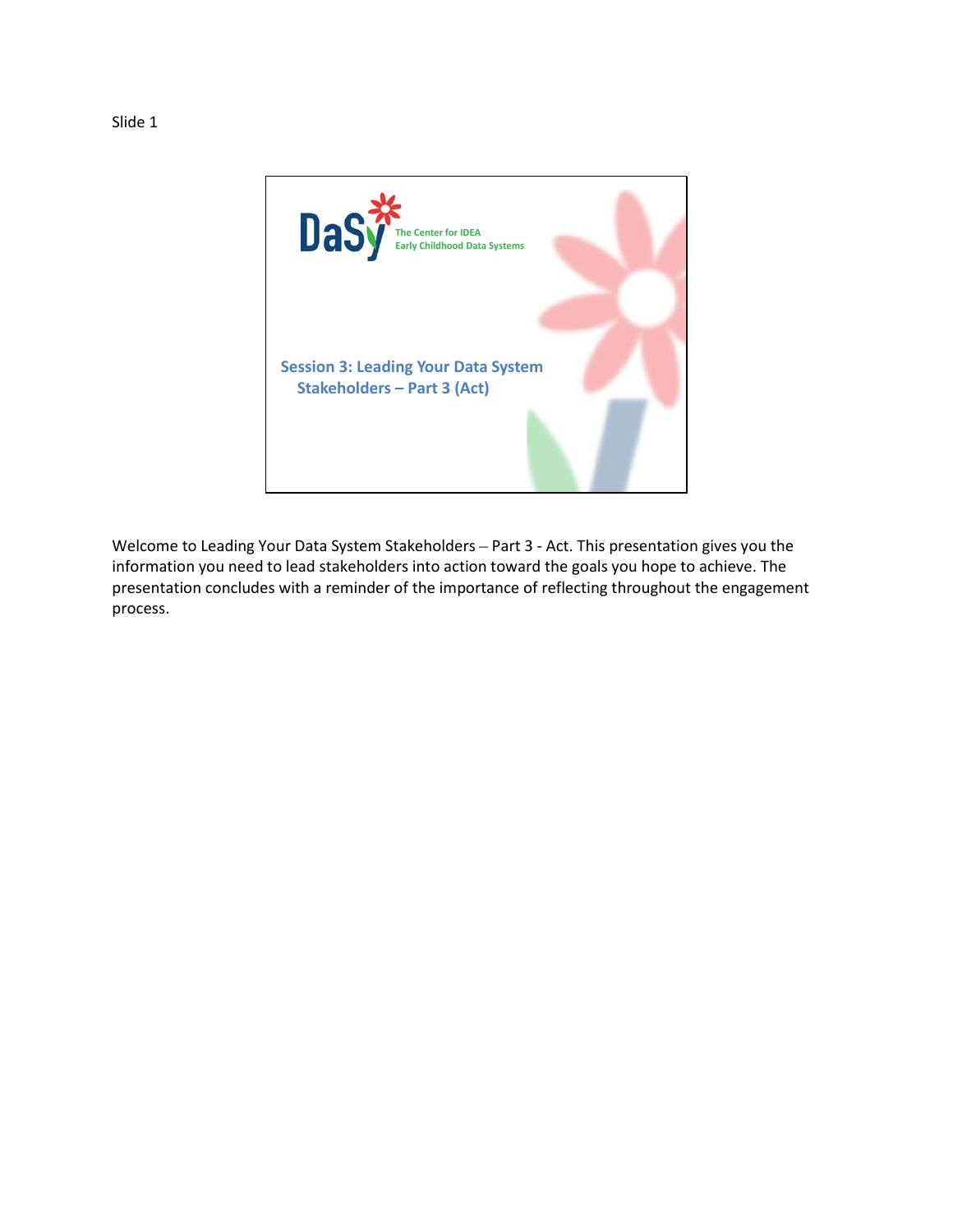

Welcome to Leading Your Data System Stakeholders – Part 3 - Act. This presentation gives you the information you need to lead stakeholders into action toward the goals you hope to achieve. The presentation concludes with a reminder of the importance of reflecting throughout the engagement process.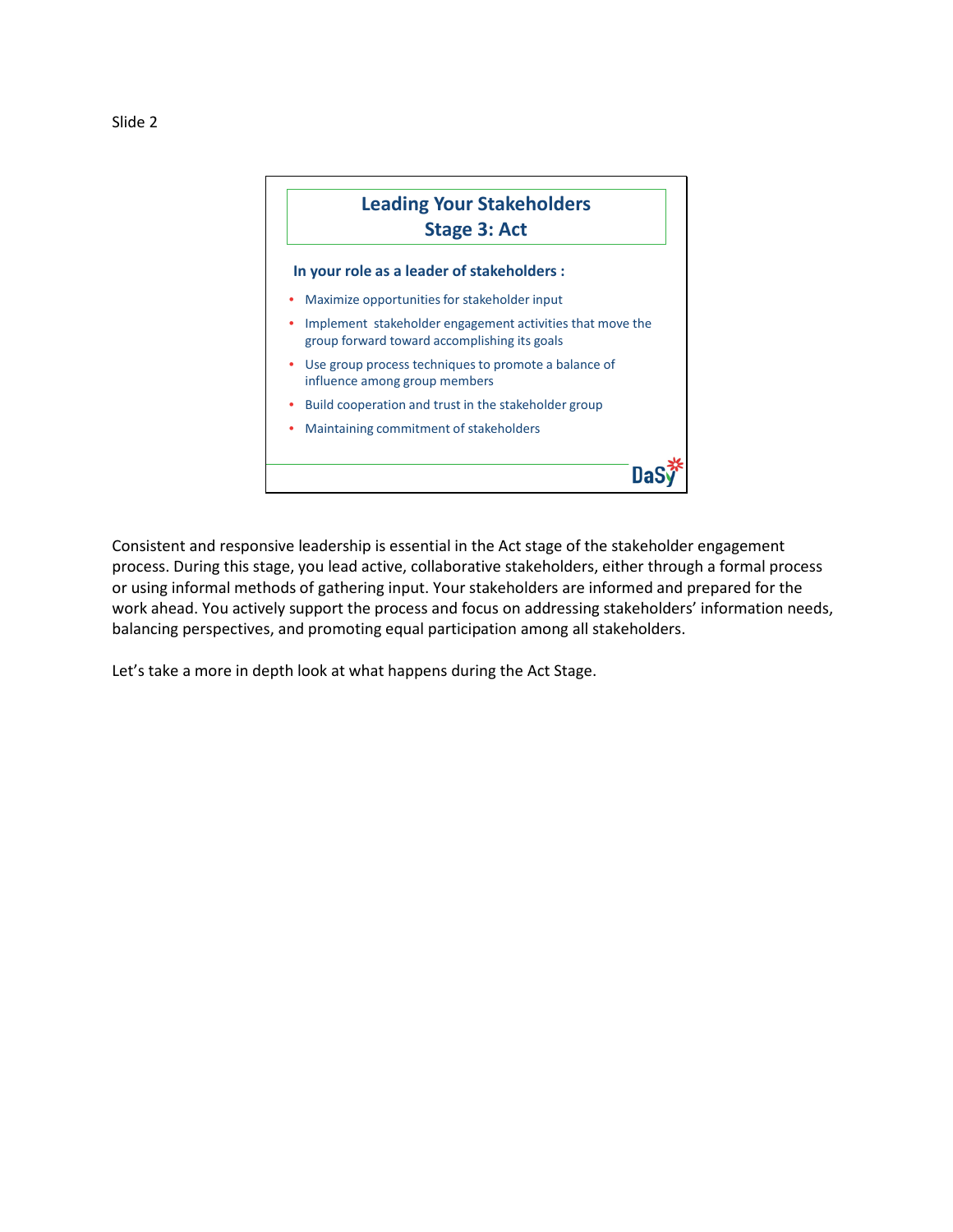

Consistent and responsive leadership is essential in the Act stage of the stakeholder engagement process. During this stage, you lead active, collaborative stakeholders, either through a formal process or using informal methods of gathering input. Your stakeholders are informed and prepared for the work ahead. You actively support the process and focus on addressing stakeholders' information needs, balancing perspectives, and promoting equal participation among all stakeholders.

Let's take a more in depth look at what happens during the Act Stage.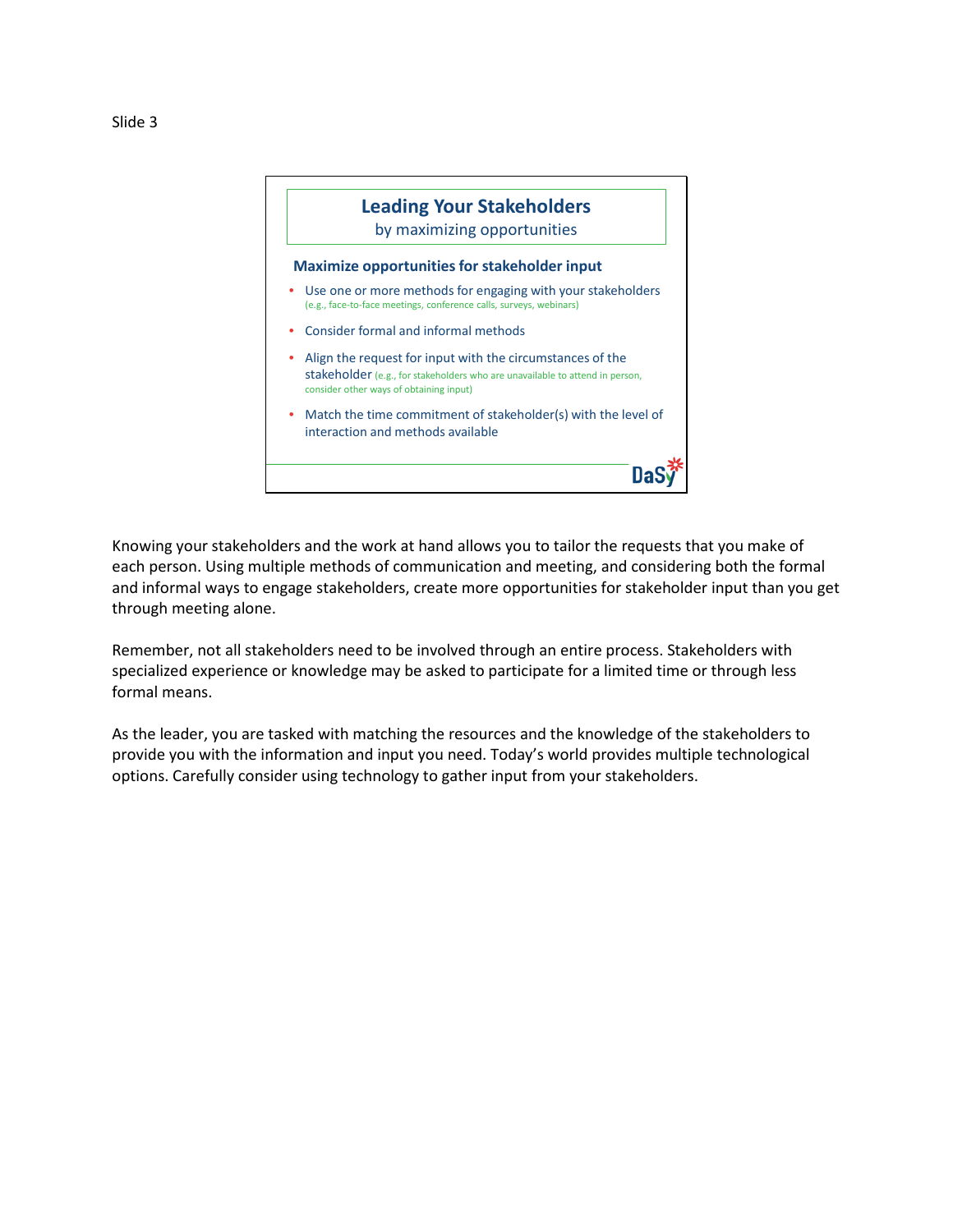

Knowing your stakeholders and the work at hand allows you to tailor the requests that you make of each person. Using multiple methods of communication and meeting, and considering both the formal and informal ways to engage stakeholders, create more opportunities for stakeholder input than you get through meeting alone.

Remember, not all stakeholders need to be involved through an entire process. Stakeholders with specialized experience or knowledge may be asked to participate for a limited time or through less formal means.

As the leader, you are tasked with matching the resources and the knowledge of the stakeholders to provide you with the information and input you need. Today's world provides multiple technological options. Carefully consider using technology to gather input from your stakeholders.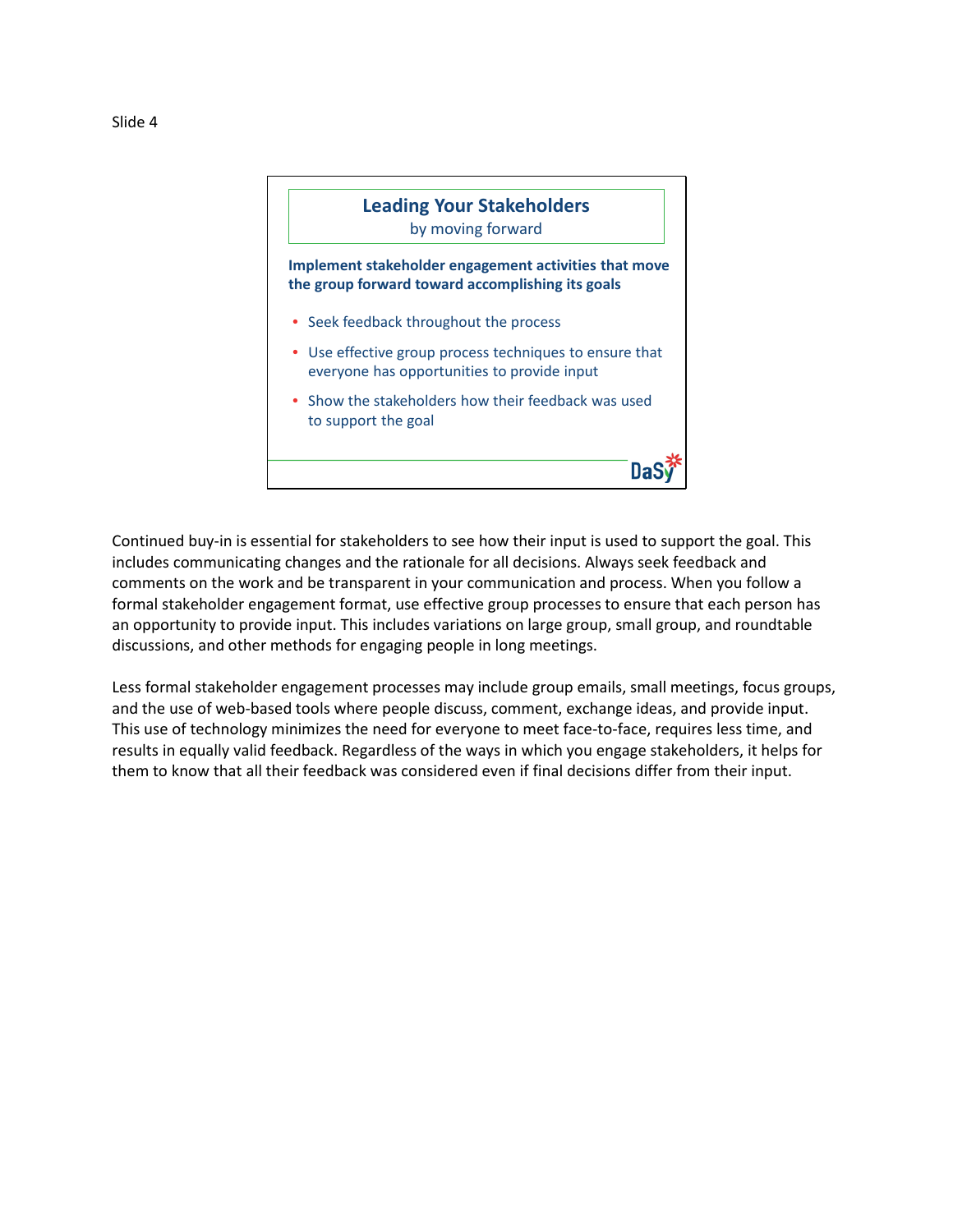

Continued buy-in is essential for stakeholders to see how their input is used to support the goal. This includes communicating changes and the rationale for all decisions. Always seek feedback and comments on the work and be transparent in your communication and process. When you follow a formal stakeholder engagement format, use effective group processes to ensure that each person has an opportunity to provide input. This includes variations on large group, small group, and roundtable discussions, and other methods for engaging people in long meetings.

Less formal stakeholder engagement processes may include group emails, small meetings, focus groups, and the use of web-based tools where people discuss, comment, exchange ideas, and provide input. This use of technology minimizes the need for everyone to meet face-to-face, requires less time, and results in equally valid feedback. Regardless of the ways in which you engage stakeholders, it helps for them to know that all their feedback was considered even if final decisions differ from their input.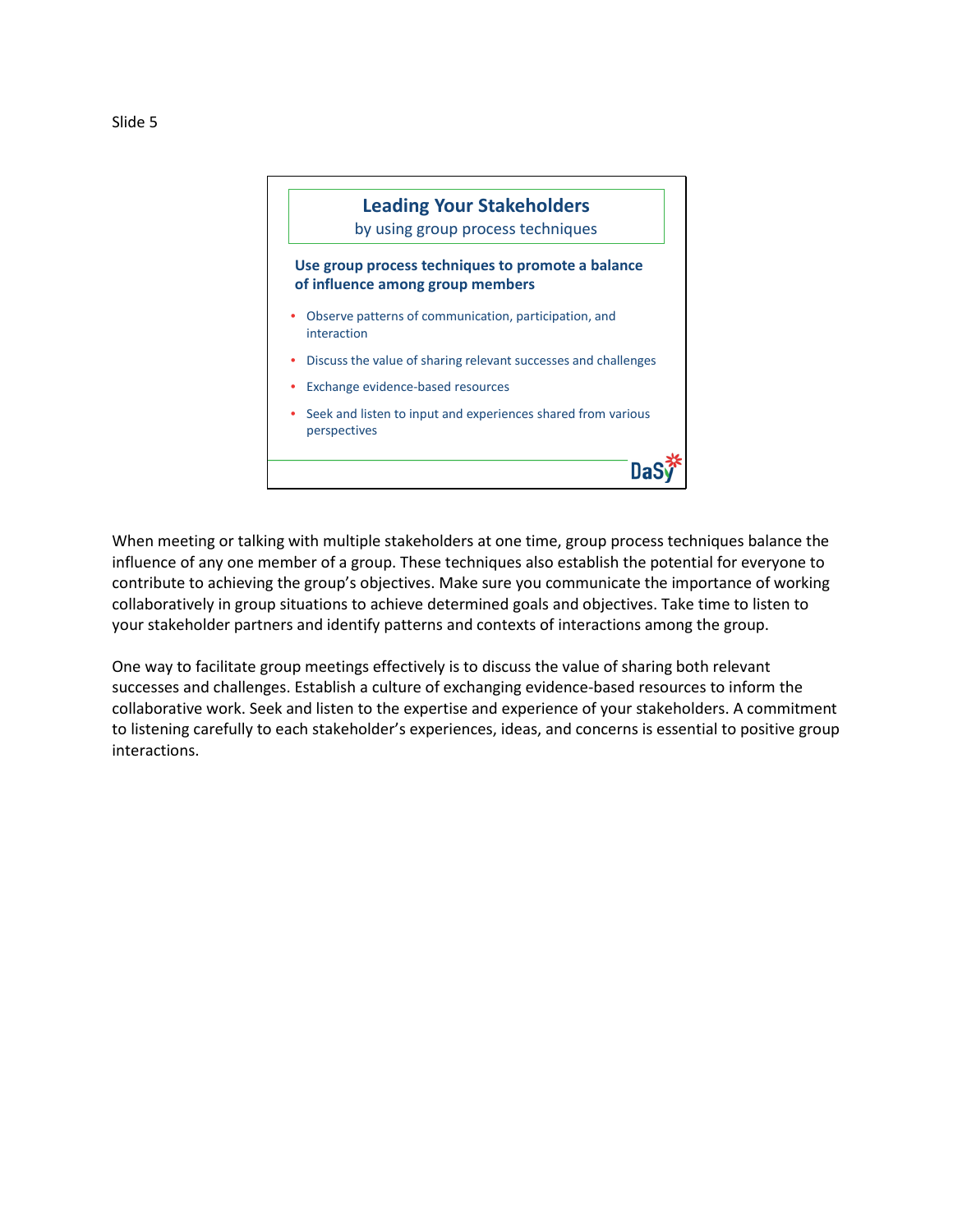



When meeting or talking with multiple stakeholders at one time, group process techniques balance the influence of any one member of a group. These techniques also establish the potential for everyone to contribute to achieving the group's objectives. Make sure you communicate the importance of working collaboratively in group situations to achieve determined goals and objectives. Take time to listen to your stakeholder partners and identify patterns and contexts of interactions among the group.

One way to facilitate group meetings effectively is to discuss the value of sharing both relevant successes and challenges. Establish a culture of exchanging evidence-based resources to inform the collaborative work. Seek and listen to the expertise and experience of your stakeholders. A commitment to listening carefully to each stakeholder's experiences, ideas, and concerns is essential to positive group interactions.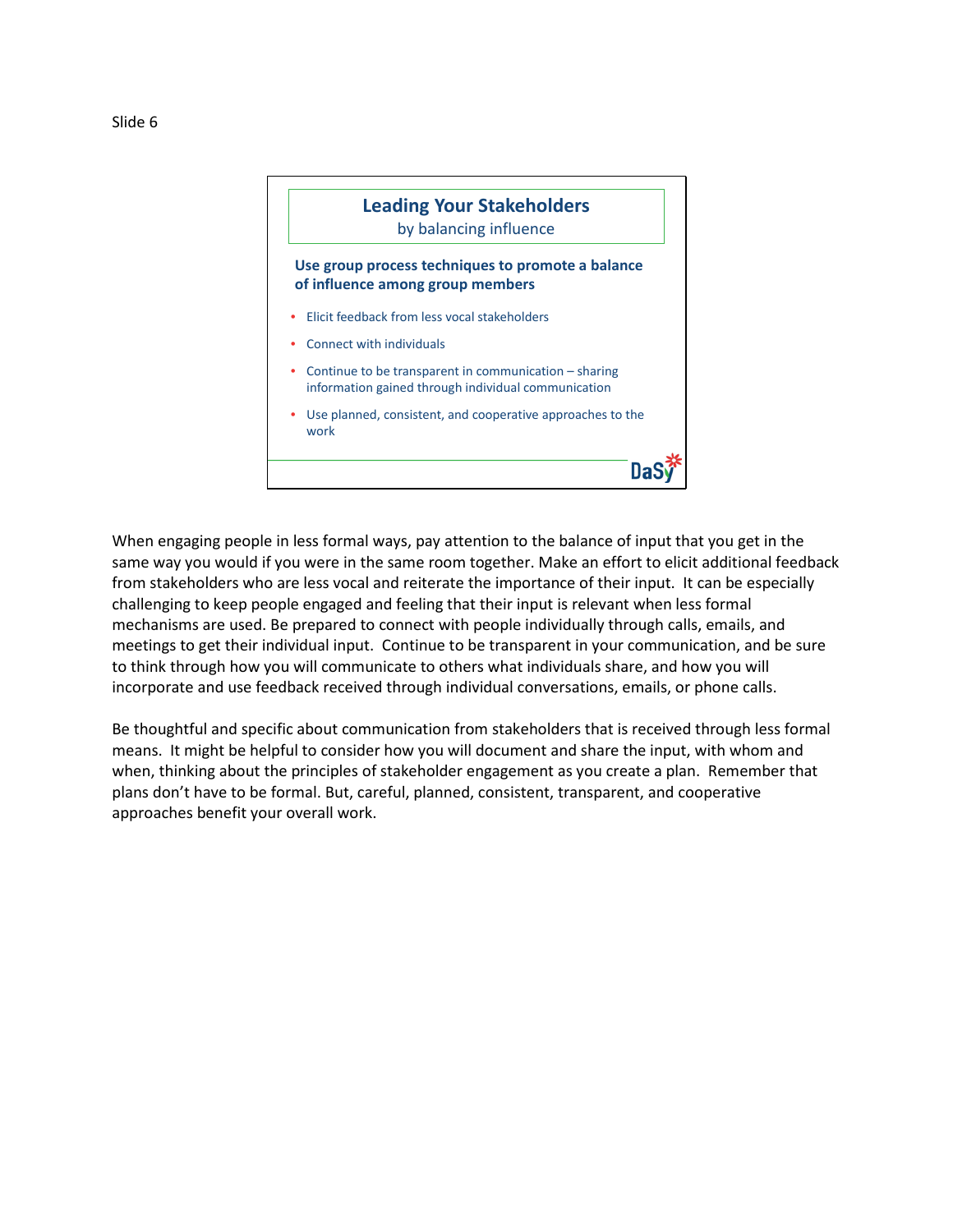



When engaging people in less formal ways, pay attention to the balance of input that you get in the same way you would if you were in the same room together. Make an effort to elicit additional feedback from stakeholders who are less vocal and reiterate the importance of their input. It can be especially challenging to keep people engaged and feeling that their input is relevant when less formal mechanisms are used. Be prepared to connect with people individually through calls, emails, and meetings to get their individual input. Continue to be transparent in your communication, and be sure to think through how you will communicate to others what individuals share, and how you will incorporate and use feedback received through individual conversations, emails, or phone calls.

Be thoughtful and specific about communication from stakeholders that is received through less formal means. It might be helpful to consider how you will document and share the input, with whom and when, thinking about the principles of stakeholder engagement as you create a plan. Remember that plans don't have to be formal. But, careful, planned, consistent, transparent, and cooperative approaches benefit your overall work.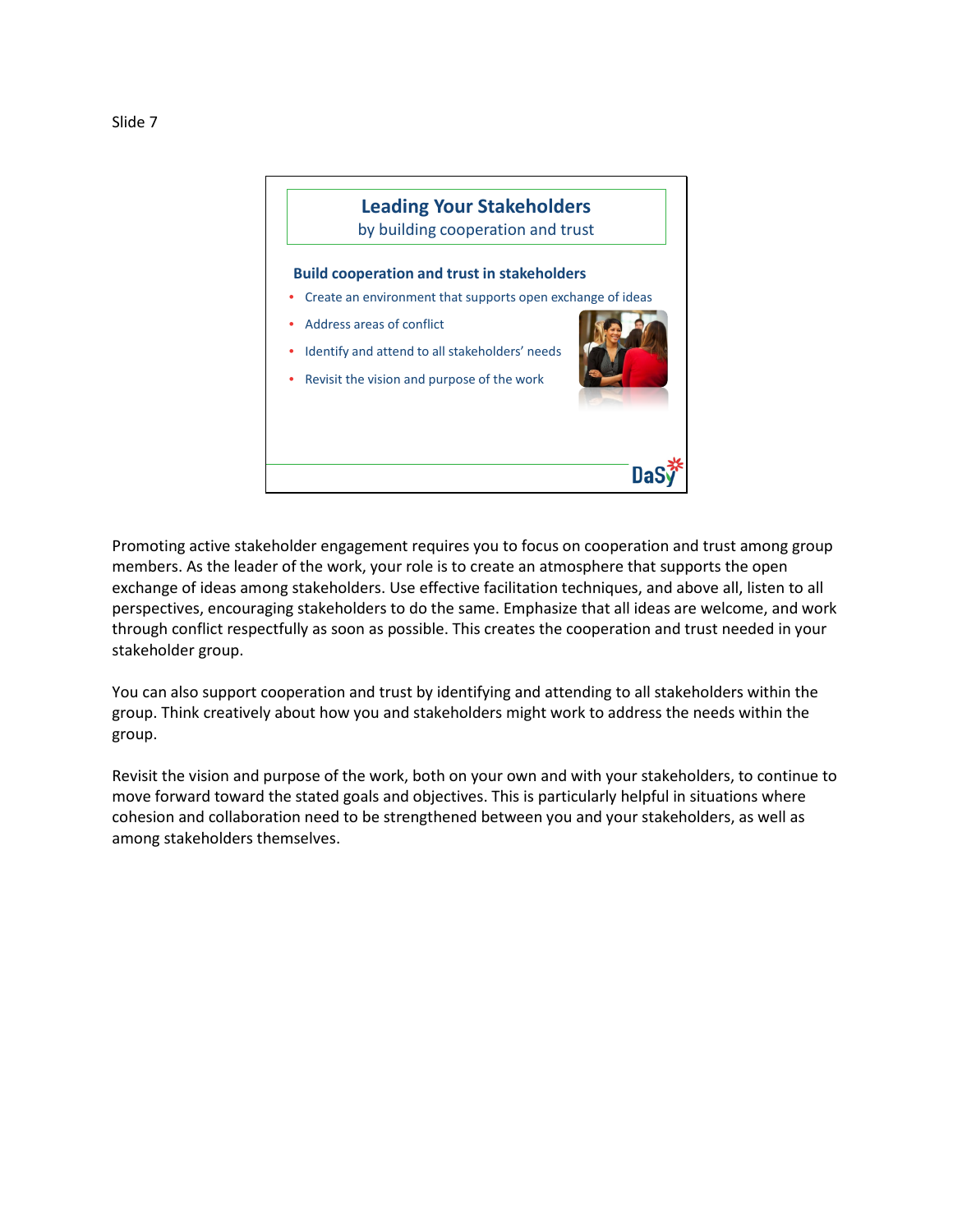



Promoting active stakeholder engagement requires you to focus on cooperation and trust among group members. As the leader of the work, your role is to create an atmosphere that supports the open exchange of ideas among stakeholders. Use effective facilitation techniques, and above all, listen to all perspectives, encouraging stakeholders to do the same. Emphasize that all ideas are welcome, and work through conflict respectfully as soon as possible. This creates the cooperation and trust needed in your stakeholder group.

You can also support cooperation and trust by identifying and attending to all stakeholders within the group. Think creatively about how you and stakeholders might work to address the needs within the group.

Revisit the vision and purpose of the work, both on your own and with your stakeholders, to continue to move forward toward the stated goals and objectives. This is particularly helpful in situations where cohesion and collaboration need to be strengthened between you and your stakeholders, as well as among stakeholders themselves.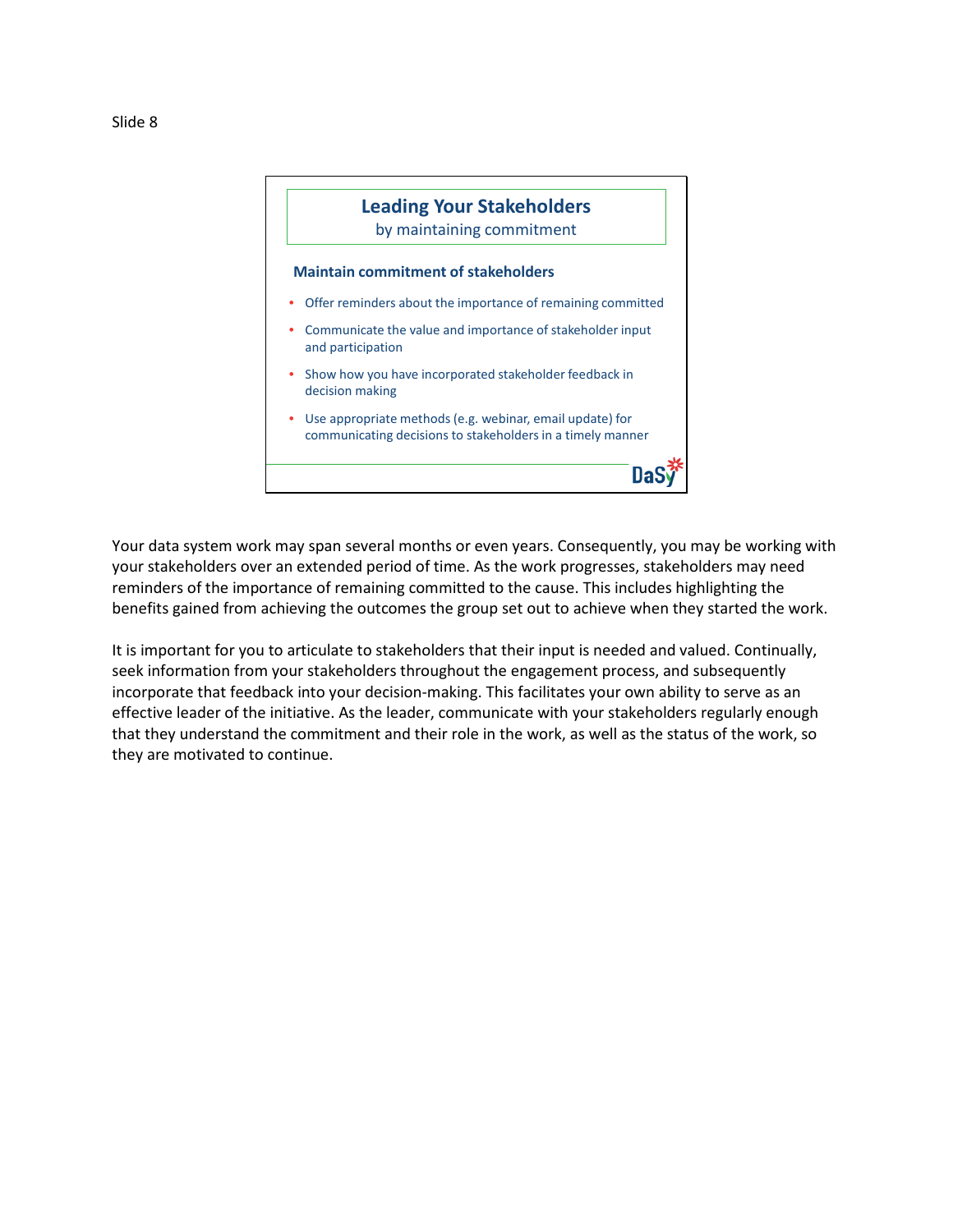

Your data system work may span several months or even years. Consequently, you may be working with your stakeholders over an extended period of time. As the work progresses, stakeholders may need reminders of the importance of remaining committed to the cause. This includes highlighting the benefits gained from achieving the outcomes the group set out to achieve when they started the work.

It is important for you to articulate to stakeholders that their input is needed and valued. Continually, seek information from your stakeholders throughout the engagement process, and subsequently incorporate that feedback into your decision-making. This facilitates your own ability to serve as an effective leader of the initiative. As the leader, communicate with your stakeholders regularly enough that they understand the commitment and their role in the work, as well as the status of the work, so they are motivated to continue.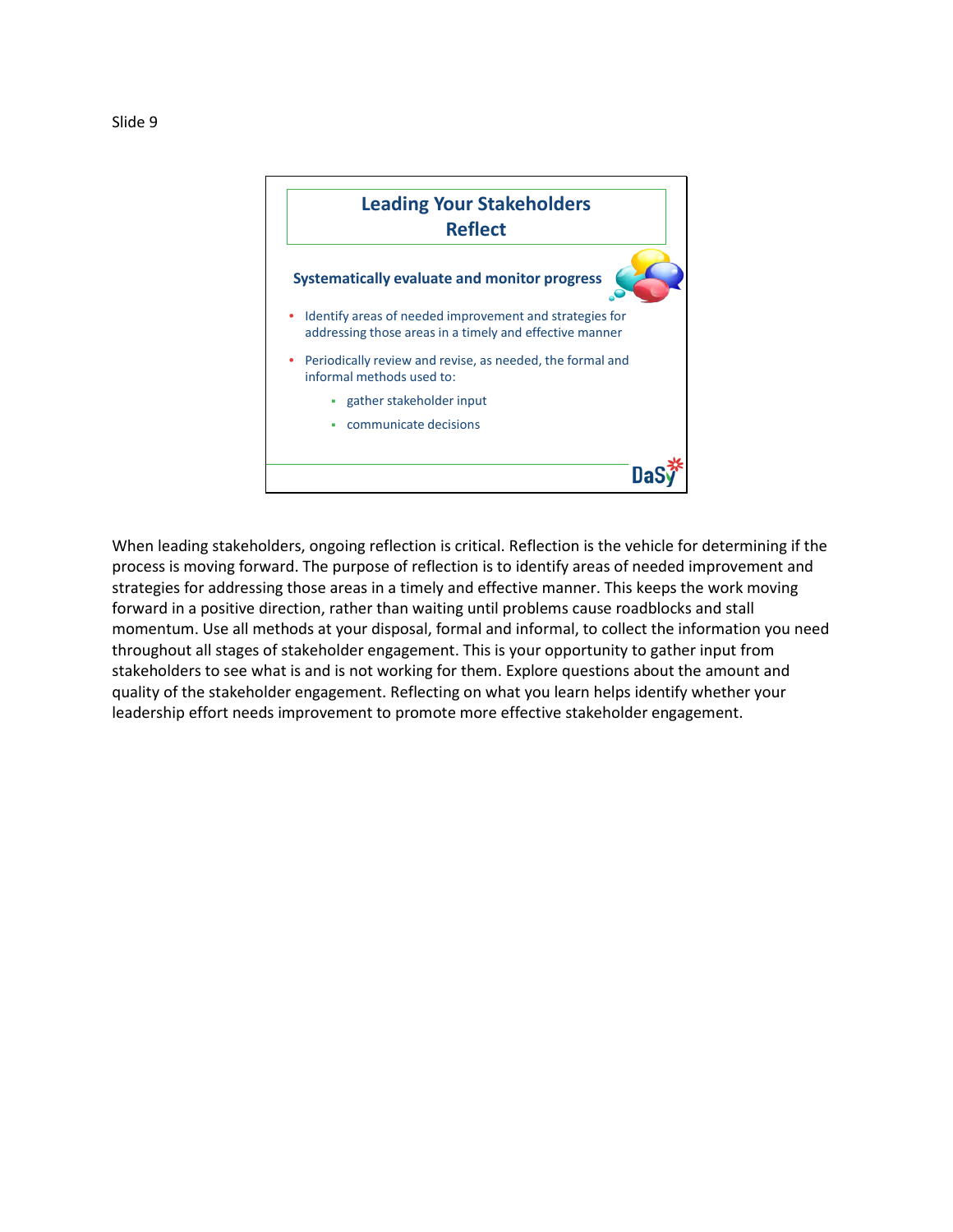

When leading stakeholders, ongoing reflection is critical. Reflection is the vehicle for determining if the process is moving forward. The purpose of reflection is to identify areas of needed improvement and strategies for addressing those areas in a timely and effective manner. This keeps the work moving forward in a positive direction, rather than waiting until problems cause roadblocks and stall momentum. Use all methods at your disposal, formal and informal, to collect the information you need throughout all stages of stakeholder engagement. This is your opportunity to gather input from stakeholders to see what is and is not working for them. Explore questions about the amount and quality of the stakeholder engagement. Reflecting on what you learn helps identify whether your leadership effort needs improvement to promote more effective stakeholder engagement.